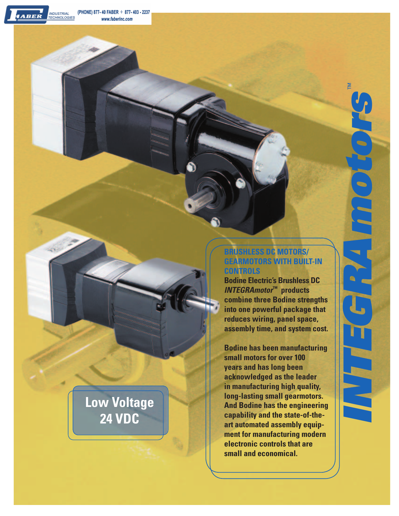**INDUSTRIAL<br>TECHNOLOGIES** 

ABER

# **BRUSHLESS DC MOTORS/ GEARMOTORS WITH BUILT-IN CONTROLS**

*INTEGRAmotors* ™

ו אי<sub>י</sub>

 $\mathbf{M}$ 

**Bodine Electric's Brushless DC**  *INTEGRAmotor***™ products combine three Bodine strengths into one powerful package that reduces wiring, panel space, assembly time, and system cost.**

**Bodine has been manufacturing small motors for over 100 years and has long been acknowledged as the leader in manufacturing high quality, long-lasting small gearmotors. And Bodine has the engineering capability and the state-of-theart automated assembly equipment for manufacturing modern electronic controls that are small and economical.**

# **Low Voltage 24 VDC**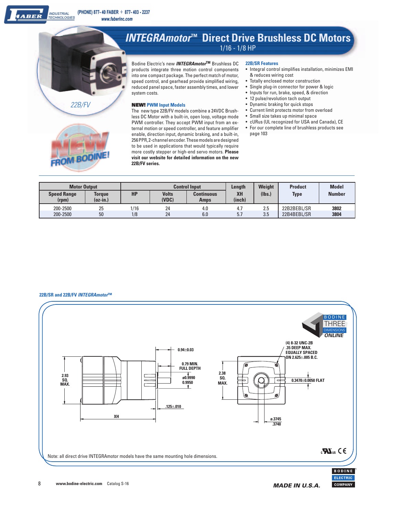

Bodine Electric's new *INTEGRAmotor***TM** Brushless DC products integrate three motion control components into one compact package. The perfect match of motor, speed control, and gearhead provide simplified wiring, reduced panel space, faster assembly times, and lower system costs.

## **NEW! PWM Input Models**

The new type 22B/FV models combine a 24VDC Brushless DC Motor with a built-in, open loop, voltage mode PWM controller. They accept PWM input from an external motion or speed controller, and feature amplifier enable, direction input, dynamic braking, and a built-in, 256 PPR, 2-channel encoder. These models are designed to be used in applications that would typically require more costly stepper or high-end servo motors. **Please visit our website for detailed information on the new 22B/FV series.**

### **22B/SR Features**

- Integral control simplifies installation, minimizes EMI & reduces wiring cost
- Totally enclosed motor construction
- Single plug-in connector for power & logic
- Inputs for run, brake, speed, & direction
- 12 pulse/revolution tach output
- Dynamic braking for quick stops
- Current limit protects motor from overload
- Small size takes up minimal space
- cURus (UL recognized for USA and Canada), CE
- For our complete line of brushless products see page 103

| <b>Motor Output</b>         |                    | <b>Control Input</b> |                       |                                  | Length       | Weight | <b>Product</b> | <b>Model</b>  |
|-----------------------------|--------------------|----------------------|-----------------------|----------------------------------|--------------|--------|----------------|---------------|
| <b>Speed Range</b><br>(rpm) | Torque<br>(oz-in.) | <b>HP</b>            | <b>Volts</b><br>(VDC) | <b>Continuous</b><br><b>Amps</b> | XH<br>(inch) | (Ibs.) | <b>Type</b>    | <b>Number</b> |
| 200-2500                    | 25                 | 1/16                 | 24                    | 4.0                              | 4.7          | 2.5    | 22B2BEBL/SR    | 3802          |
| 200-2500                    | 50                 | 1/8                  | 24                    | 6.0                              | 5.7          | 3.5    | 22B4BEBL/SR    | 3804          |

#### **22B/SR and 22B/FV** *INTEGRAmotor***™**

*22B/FV*

FROM BODI

ABER



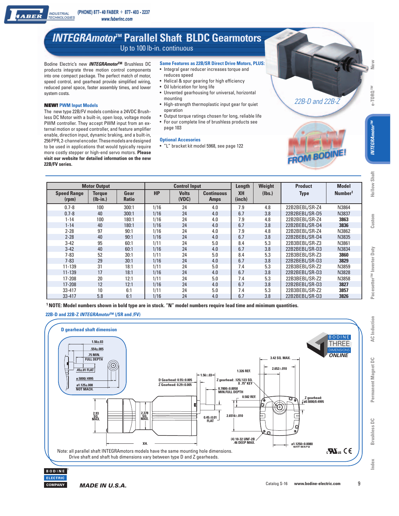# *INTEGRAmotor***™ Parallel Shaft BLDC Gearmotors** Up to 100 lb-in. continuous

Bodine Electric's new *INTEGRAmotor***TM** Brushless DC products integrate three motion control components into one compact package. The perfect match of motor, speed control, and gearhead provide simplified wiring, reduced panel space, faster assembly times, and lower system costs.

# **NEW! PWM Input Models**

 $ABER$ 

The new type 22B/FV models combine a 24VDC Brushless DC Motor with a built-in, open loop, voltage mode PWM controller. They accept PWM input from an external motion or speed controller, and feature amplifier enable, direction input, dynamic braking, and a built-in, 256 PPR, 2-channel encoder. These models are designed to be used in applications that would typically require more costly stepper or high-end servo motors. **Please visit our website for detailed information on the new 22B/FV series.**

- **Same Features as 22B/SR Direct Drive Motors, PLUS:** • Integral gear reducer increases torque and
- reduces speed
- Helical & spur gearing for high efficiency
	- Oil lubrication for long life
	- Unvented gearhousing for universal, horizontal mounting
	- High-strength thermoplastic input gear for quiet operation
	- Output torque ratings chosen for long, reliable life • For our complete line of brushless products see page 103
- **Optional Accesories**
- "L" bracket kit model 5968, see page 122

| <b>Motor Output</b>         |                             | <b>Control Input</b> |           |                       | Length                           | Weight              | <b>Product</b> | <b>Model</b>   |                     |
|-----------------------------|-----------------------------|----------------------|-----------|-----------------------|----------------------------------|---------------------|----------------|----------------|---------------------|
| <b>Speed Range</b><br>(rpm) | <b>Torque</b><br>$(Ib-in.)$ | Gear<br><b>Ratio</b> | <b>HP</b> | <b>Volts</b><br>(VDC) | <b>Continuous</b><br><b>Amps</b> | <b>XH</b><br>(inch) | (Ibs.)         | <b>Type</b>    | Number <sup>1</sup> |
| $0.7 - 8$                   | 100                         | 300:1                | 1/16      | 24                    | 4.0                              | 7.9                 | 4.8            | 22B2BEBL/SR-Z4 | N3864               |
| $0.7 - 8$                   | 40                          | 300:1                | 1/16      | 24                    | 4.0                              | 6.7                 | 3.8            | 22B2BEBL/SR-D5 | N3837               |
| $1 - 14$                    | 100                         | 180:1                | 1/16      | 24                    | 4.0                              | 7.9                 | 4.8            | 22B2BEBL/SR-Z4 | 3863                |
| $1 - 14$                    | 40                          | 180:1                | 1/16      | 24                    | 4.0                              | 6.7                 | 3.8            | 22B2BEBL/SR-D4 | 3836                |
| $2 - 28$                    | 97                          | 90:1                 | 1/16      | 24                    | 4.0                              | 7.9                 | 4.8            | 22B2BEBL/SR-Z4 | N3862               |
| $2 - 28$                    | 40                          | 90:1                 | 1/16      | 24                    | 4.0                              | 6.7                 | 3.8            | 22B2BEBL/SR-D4 | N3835               |
| $3 - 42$                    | 95                          | 60:1                 | 1/11      | 24                    | 5.0                              | 8.4                 | 5.3            | 22B3BEBL/SR-Z3 | N3861               |
| $3 - 42$                    | 40                          | 60:1                 | 1/16      | 24                    | 4.0                              | 6.7                 | 3.8            | 22B2BEBL/SR-D3 | N3834               |
| $7 - 83$                    | 52                          | 30:1                 | 1/11      | 24                    | 5.0                              | 8.4                 | 5.3            | 22B3BEBL/SR-Z3 | 3860                |
| $7 - 83$                    | 29                          | 30:1                 | 1/16      | 24                    | 4.0                              | 6.7                 | 3.8            | 22B2BEBL/SR-D3 | 3829                |
| 11-139                      | 31                          | 18:1                 | 1/11      | 24                    | 5.0                              | 7.4                 | 5.3            | 22B3BEBL/SR-Z2 | N3859               |
| 11-139                      | 17                          | 18:1                 | 1/16      | 24                    | 4.0                              | 6.7                 | 3.8            | 22B2BEBL/SR-D3 | N3828               |
| 17-208                      | 20                          | 12:1                 | 1/11      | 24                    | 5.0                              | 7.4                 | 5.3            | 22B3BEBL/SR-Z2 | N3858               |
| 17-208                      | 12                          | 12:1                 | 1/16      | 24                    | 4.0                              | 6.7                 | 3.8            | 22B2BEBL/SR-D3 | 3827                |
| 33-417                      | 10                          | 6:1                  | 1/11      | 24                    | 5.0                              | 7.4                 | 5.3            | 22B3BEBL/SR-Z2 | 3857                |
| 33-417                      | 5.8                         | 6:1                  | 1/16      | 24                    | 4.0                              | 6.7                 | 3.8            | 22B2BEBL/SR-D3 | 3826                |

**1 NOTE: Model numbers shown in bold type are in stock. "N" model numbers require lead time and minimum quantities.**

# **22B-D and 22B-Z** *INTEGRAmotor***™ (/SR and /FV)**





*™* **New** e-TORQ<sup>TM</sup>

*22B-D and 22B-Z*

**ROM BODINE** 

**AC** Induction

Permanent Magnet DC

**Brushless DC** 

Index